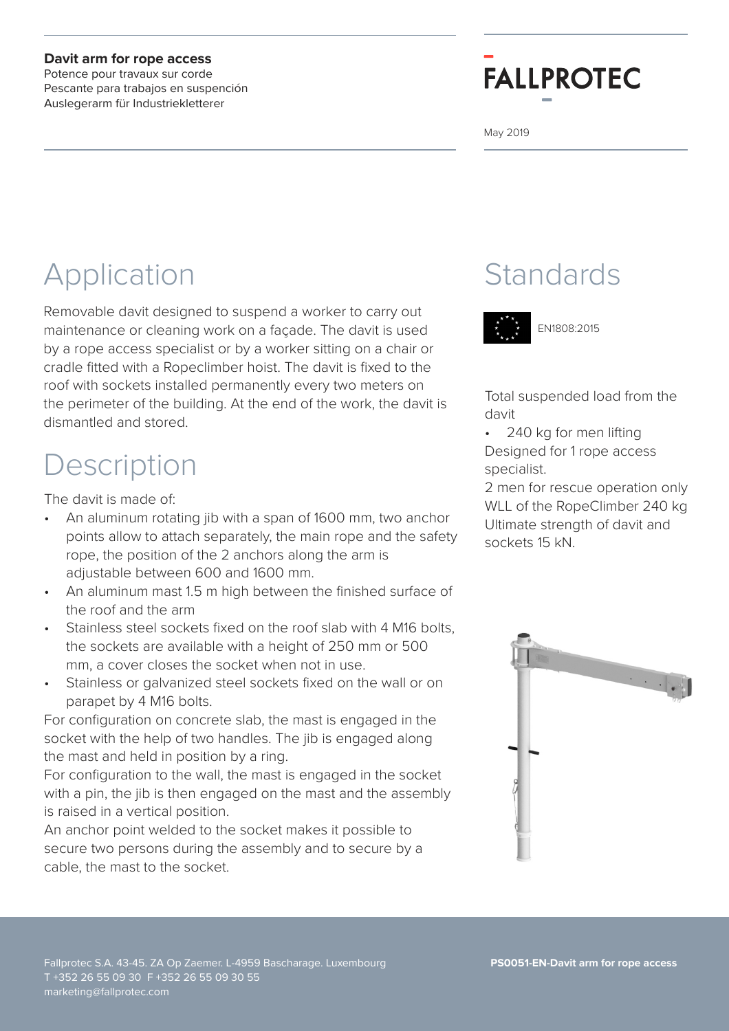#### **Davit arm for rope access**

Potence pour travaux sur corde Pescante para trabajos en suspención Auslegerarm für Industriekletterer

# **FALLPROTEC**

May 2019

## Application

Removable davit designed to suspend a worker to carry out maintenance or cleaning work on a façade. The davit is used by a rope access specialist or by a worker sitting on a chair or cradle fitted with a Ropeclimber hoist. The davit is fixed to the roof with sockets installed permanently every two meters on the perimeter of the building. At the end of the work, the davit is dismantled and stored.

### Description

The davit is made of:

- An aluminum rotating jib with a span of 1600 mm, two anchor points allow to attach separately, the main rope and the safety rope, the position of the 2 anchors along the arm is adjustable between 600 and 1600 mm.
- An aluminum mast 1.5 m high between the finished surface of the roof and the arm
- Stainless steel sockets fixed on the roof slab with 4 M16 bolts. the sockets are available with a height of 250 mm or 500 mm, a cover closes the socket when not in use.
- Stainless or galvanized steel sockets fixed on the wall or on parapet by 4 M16 bolts.

For configuration on concrete slab, the mast is engaged in the socket with the help of two handles. The jib is engaged along the mast and held in position by a ring.

For configuration to the wall, the mast is engaged in the socket with a pin, the jib is then engaged on the mast and the assembly is raised in a vertical position.

An anchor point welded to the socket makes it possible to secure two persons during the assembly and to secure by a cable, the mast to the socket.

### **Standards**



EN1808:2015

Total suspended load from the davit

• 240 kg for men lifting Designed for 1 rope access specialist.

2 men for rescue operation only WLL of the RopeClimber 240 kg Ultimate strength of davit and sockets 15 kN.

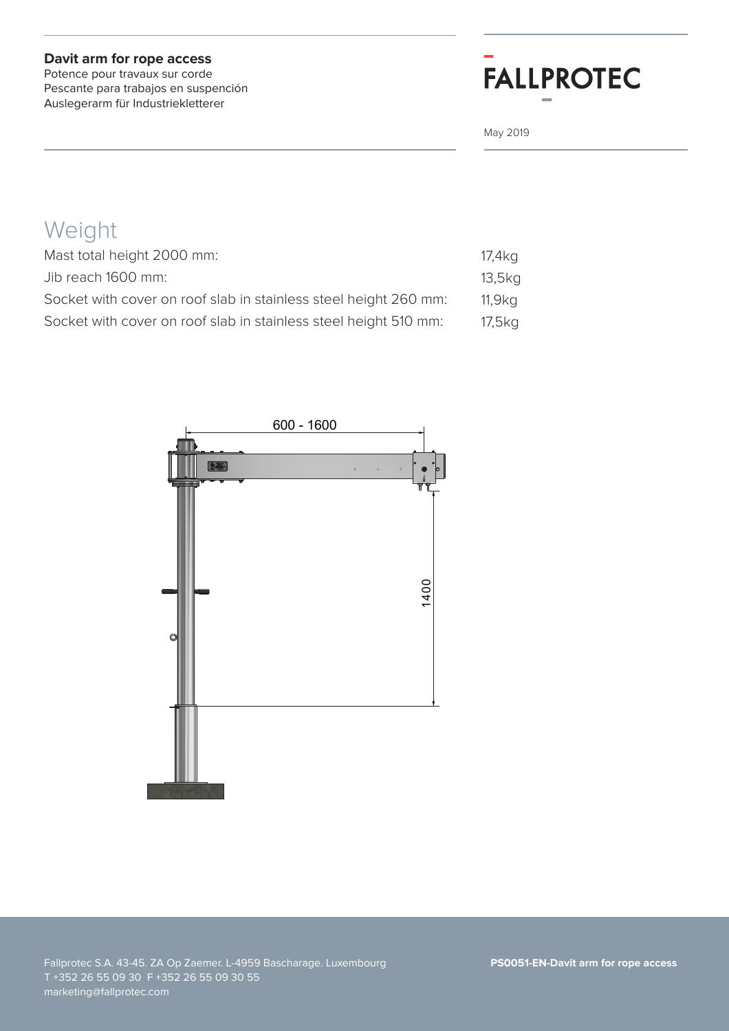#### **Davit arm for rope access**

Potence pour travaux sur corde Pescante para trabajos en suspención Auslegerarm für Industriekletterer

## **FALLPROTEC**

May 2019

### Weight

| Mast total height 2000 mm:                                       | 17,4kg |
|------------------------------------------------------------------|--------|
| Jib reach 1600 mm:                                               | 13,5kg |
| Socket with cover on roof slab in stainless steel height 260 mm: | 11,9kg |
| Socket with cover on roof slab in stainless steel height 510 mm: | 17,5kg |